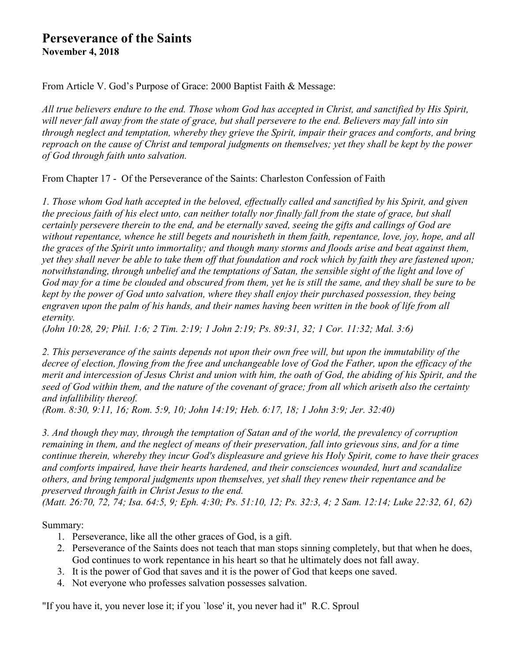#### **Perseverance of the Saints November 4, 2018**

From Article V. God's Purpose of Grace: 2000 Baptist Faith & Message:

*All true believers endure to the end. Those whom God has accepted in Christ, and sanctified by His Spirit, will never fall away from the state of grace, but shall persevere to the end. Believers may fall into sin through neglect and temptation, whereby they grieve the Spirit, impair their graces and comforts, and bring reproach on the cause of Christ and temporal judgments on themselves; yet they shall be kept by the power of God through faith unto salvation.* 

From Chapter 17 - Of the Perseverance of the Saints: Charleston Confession of Faith

*1. Those whom God hath accepted in the beloved, effectually called and sanctified by his Spirit, and given the precious faith of his elect unto, can neither totally nor finally fall from the state of grace, but shall certainly persevere therein to the end, and be eternally saved, seeing the gifts and callings of God are without repentance, whence he still begets and nourisheth in them faith, repentance, love, joy, hope, and all the graces of the Spirit unto immortality; and though many storms and floods arise and beat against them, yet they shall never be able to take them off that foundation and rock which by faith they are fastened upon; notwithstanding, through unbelief and the temptations of Satan, the sensible sight of the light and love of God may for a time be clouded and obscured from them, yet he is still the same, and they shall be sure to be kept by the power of God unto salvation, where they shall enjoy their purchased possession, they being engraven upon the palm of his hands, and their names having been written in the book of life from all eternity.* 

*(John 10:28, 29; Phil. 1:6; 2 Tim. 2:19; 1 John 2:19; Ps. 89:31, 32; 1 Cor. 11:32; Mal. 3:6)* 

*2. This perseverance of the saints depends not upon their own free will, but upon the immutability of the decree of election, flowing from the free and unchangeable love of God the Father, upon the efficacy of the merit and intercession of Jesus Christ and union with him, the oath of God, the abiding of his Spirit, and the seed of God within them, and the nature of the covenant of grace; from all which ariseth also the certainty and infallibility thereof.* 

*(Rom. 8:30, 9:11, 16; Rom. 5:9, 10; John 14:19; Heb. 6:17, 18; 1 John 3:9; Jer. 32:40)* 

*3. And though they may, through the temptation of Satan and of the world, the prevalency of corruption remaining in them, and the neglect of means of their preservation, fall into grievous sins, and for a time continue therein, whereby they incur God's displeasure and grieve his Holy Spirit, come to have their graces and comforts impaired, have their hearts hardened, and their consciences wounded, hurt and scandalize others, and bring temporal judgments upon themselves, yet shall they renew their repentance and be preserved through faith in Christ Jesus to the end.* 

*(Matt. 26:70, 72, 74; Isa. 64:5, 9; Eph. 4:30; Ps. 51:10, 12; Ps. 32:3, 4; 2 Sam. 12:14; Luke 22:32, 61, 62)* 

Summary:

- 1. Perseverance, like all the other graces of God, is a gift.
- 2. Perseverance of the Saints does not teach that man stops sinning completely, but that when he does, God continues to work repentance in his heart so that he ultimately does not fall away.
- 3. It is the power of God that saves and it is the power of God that keeps one saved.
- 4. Not everyone who professes salvation possesses salvation.

"If you have it, you never lose it; if you `lose' it, you never had it" R.C. Sproul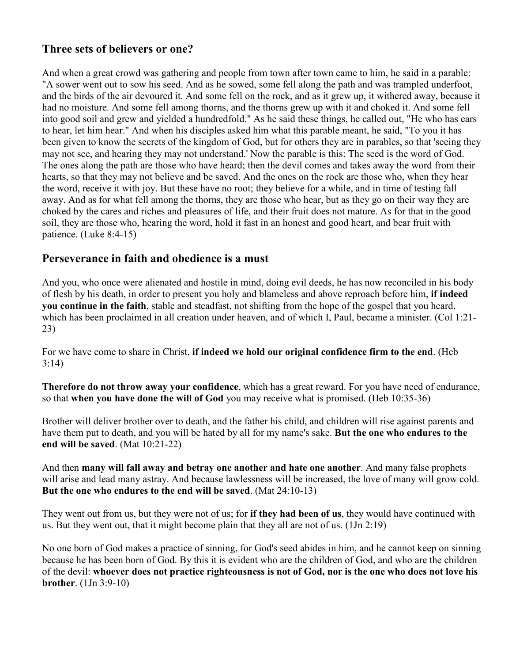### **Three sets of believers or one?**

And when a great crowd was gathering and people from town after town came to him, he said in a parable: "A sower went out to sow his seed. And as he sowed, some fell along the path and was trampled underfoot, and the birds of the air devoured it. And some fell on the rock, and as it grew up, it withered away, because it had no moisture. And some fell among thorns, and the thorns grew up with it and choked it. And some fell into good soil and grew and yielded a hundredfold." As he said these things, he called out, "He who has ears to hear, let him hear." And when his disciples asked him what this parable meant, he said, "To you it has been given to know the secrets of the kingdom of God, but for others they are in parables, so that 'seeing they may not see, and hearing they may not understand.' Now the parable is this: The seed is the word of God. The ones along the path are those who have heard; then the devil comes and takes away the word from their hearts, so that they may not believe and be saved. And the ones on the rock are those who, when they hear the word, receive it with joy. But these have no root; they believe for a while, and in time of testing fall away. And as for what fell among the thorns, they are those who hear, but as they go on their way they are choked by the cares and riches and pleasures of life, and their fruit does not mature. As for that in the good soil, they are those who, hearing the word, hold it fast in an honest and good heart, and bear fruit with patience. (Luke 8:4-15)

#### **Perseverance in faith and obedience is a must**

And you, who once were alienated and hostile in mind, doing evil deeds, he has now reconciled in his body of flesh by his death, in order to present you holy and blameless and above reproach before him, **if indeed you continue in the faith**, stable and steadfast, not shifting from the hope of the gospel that you heard, which has been proclaimed in all creation under heaven, and of which I, Paul, became a minister. (Col 1:21-23)

For we have come to share in Christ, **if indeed we hold our original confidence firm to the end**. (Heb 3:14)

**Therefore do not throw away your confidence**, which has a great reward. For you have need of endurance, so that **when you have done the will of God** you may receive what is promised. (Heb 10:35-36)

Brother will deliver brother over to death, and the father his child, and children will rise against parents and have them put to death, and you will be hated by all for my name's sake. **But the one who endures to the end will be saved**. (Mat 10:21-22)

And then **many will fall away and betray one another and hate one another**. And many false prophets will arise and lead many astray. And because lawlessness will be increased, the love of many will grow cold. **But the one who endures to the end will be saved**. (Mat 24:10-13)

They went out from us, but they were not of us; for **if they had been of us**, they would have continued with us. But they went out, that it might become plain that they all are not of us. (1Jn 2:19)

No one born of God makes a practice of sinning, for God's seed abides in him, and he cannot keep on sinning because he has been born of God. By this it is evident who are the children of God, and who are the children of the devil: **whoever does not practice righteousness is not of God, nor is the one who does not love his brother**. (1Jn 3:9-10)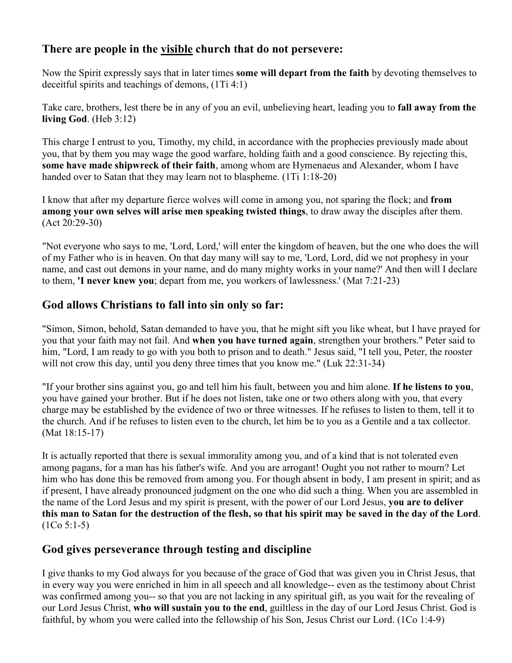## **There are people in the visible church that do not persevere:**

Now the Spirit expressly says that in later times **some will depart from the faith** by devoting themselves to deceitful spirits and teachings of demons, (1Ti 4:1)

Take care, brothers, lest there be in any of you an evil, unbelieving heart, leading you to **fall away from the living God**. (Heb 3:12)

This charge I entrust to you, Timothy, my child, in accordance with the prophecies previously made about you, that by them you may wage the good warfare, holding faith and a good conscience. By rejecting this, **some have made shipwreck of their faith**, among whom are Hymenaeus and Alexander, whom I have handed over to Satan that they may learn not to blaspheme. (1Ti 1:18-20)

I know that after my departure fierce wolves will come in among you, not sparing the flock; and **from among your own selves will arise men speaking twisted things**, to draw away the disciples after them. (Act 20:29-30)

"Not everyone who says to me, 'Lord, Lord,' will enter the kingdom of heaven, but the one who does the will of my Father who is in heaven. On that day many will say to me, 'Lord, Lord, did we not prophesy in your name, and cast out demons in your name, and do many mighty works in your name?' And then will I declare to them, **'I never knew you**; depart from me, you workers of lawlessness.' (Mat 7:21-23)

## **God allows Christians to fall into sin only so far:**

"Simon, Simon, behold, Satan demanded to have you, that he might sift you like wheat, but I have prayed for you that your faith may not fail. And **when you have turned again**, strengthen your brothers." Peter said to him, "Lord, I am ready to go with you both to prison and to death." Jesus said, "I tell you, Peter, the rooster will not crow this day, until you deny three times that you know me." (Luk 22:31-34)

"If your brother sins against you, go and tell him his fault, between you and him alone. **If he listens to you**, you have gained your brother. But if he does not listen, take one or two others along with you, that every charge may be established by the evidence of two or three witnesses. If he refuses to listen to them, tell it to the church. And if he refuses to listen even to the church, let him be to you as a Gentile and a tax collector. (Mat 18:15-17)

It is actually reported that there is sexual immorality among you, and of a kind that is not tolerated even among pagans, for a man has his father's wife. And you are arrogant! Ought you not rather to mourn? Let him who has done this be removed from among you. For though absent in body, I am present in spirit; and as if present, I have already pronounced judgment on the one who did such a thing. When you are assembled in the name of the Lord Jesus and my spirit is present, with the power of our Lord Jesus, **you are to deliver this man to Satan for the destruction of the flesh, so that his spirit may be saved in the day of the Lord**. (1Co 5:1-5)

# **God gives perseverance through testing and discipline**

I give thanks to my God always for you because of the grace of God that was given you in Christ Jesus, that in every way you were enriched in him in all speech and all knowledge-- even as the testimony about Christ was confirmed among you-- so that you are not lacking in any spiritual gift, as you wait for the revealing of our Lord Jesus Christ, **who will sustain you to the end**, guiltless in the day of our Lord Jesus Christ. God is faithful, by whom you were called into the fellowship of his Son, Jesus Christ our Lord. (1Co 1:4-9)